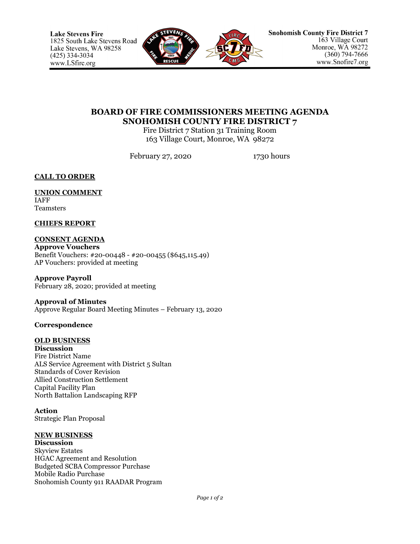

# **BOARD OF FIRE COMMISSIONERS MEETING AGENDA SNOHOMISH COUNTY FIRE DISTRICT 7**

Fire District 7 Station 31 Training Room 163 Village Court, Monroe, WA 98272

February 27, 2020 1730 hours

**CALL TO ORDER**

#### **UNION COMMENT** IAFF Teamsters

## **CHIEFS REPORT**

**CONSENT AGENDA Approve Vouchers** Benefit Vouchers: #20-00448 - #20-00455 (\$645,115.49) AP Vouchers: provided at meeting

**Approve Payroll** February 28, 2020; provided at meeting

## **Approval of Minutes** Approve Regular Board Meeting Minutes – February 13, 2020

## **Correspondence**

## **OLD BUSINESS**

**Discussion** Fire District Name ALS Service Agreement with District 5 Sultan Standards of Cover Revision Allied Construction Settlement Capital Facility Plan North Battalion Landscaping RFP

**Action** Strategic Plan Proposal

## **NEW BUSINESS**

**Discussion** Skyview Estates HGAC Agreement and Resolution Budgeted SCBA Compressor Purchase Mobile Radio Purchase Snohomish County 911 RAADAR Program